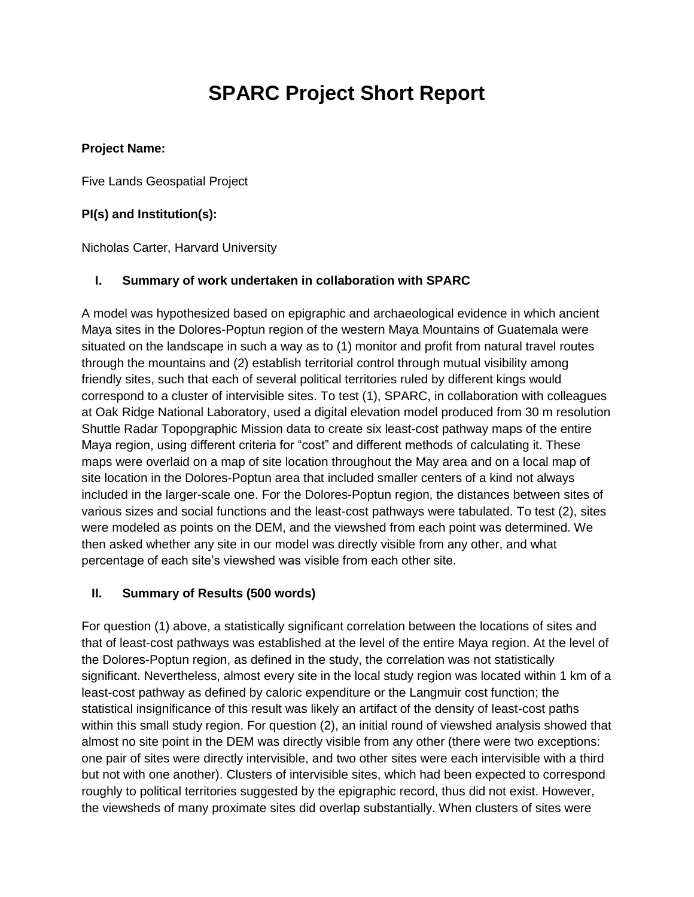# **SPARC Project Short Report**

### **Project Name:**

Five Lands Geospatial Project

# **PI(s) and Institution(s):**

Nicholas Carter, Harvard University

# **I. Summary of work undertaken in collaboration with SPARC**

A model was hypothesized based on epigraphic and archaeological evidence in which ancient Maya sites in the Dolores-Poptun region of the western Maya Mountains of Guatemala were situated on the landscape in such a way as to (1) monitor and profit from natural travel routes through the mountains and (2) establish territorial control through mutual visibility among friendly sites, such that each of several political territories ruled by different kings would correspond to a cluster of intervisible sites. To test (1), SPARC, in collaboration with colleagues at Oak Ridge National Laboratory, used a digital elevation model produced from 30 m resolution Shuttle Radar Topopgraphic Mission data to create six least-cost pathway maps of the entire Maya region, using different criteria for "cost" and different methods of calculating it. These maps were overlaid on a map of site location throughout the May area and on a local map of site location in the Dolores-Poptun area that included smaller centers of a kind not always included in the larger-scale one. For the Dolores-Poptun region, the distances between sites of various sizes and social functions and the least-cost pathways were tabulated. To test (2), sites were modeled as points on the DEM, and the viewshed from each point was determined. We then asked whether any site in our model was directly visible from any other, and what percentage of each site's viewshed was visible from each other site.

#### **II. Summary of Results (500 words)**

For question (1) above, a statistically significant correlation between the locations of sites and that of least-cost pathways was established at the level of the entire Maya region. At the level of the Dolores-Poptun region, as defined in the study, the correlation was not statistically significant. Nevertheless, almost every site in the local study region was located within 1 km of a least-cost pathway as defined by caloric expenditure or the Langmuir cost function; the statistical insignificance of this result was likely an artifact of the density of least-cost paths within this small study region. For question (2), an initial round of viewshed analysis showed that almost no site point in the DEM was directly visible from any other (there were two exceptions: one pair of sites were directly intervisible, and two other sites were each intervisible with a third but not with one another). Clusters of intervisible sites, which had been expected to correspond roughly to political territories suggested by the epigraphic record, thus did not exist. However, the viewsheds of many proximate sites did overlap substantially. When clusters of sites were